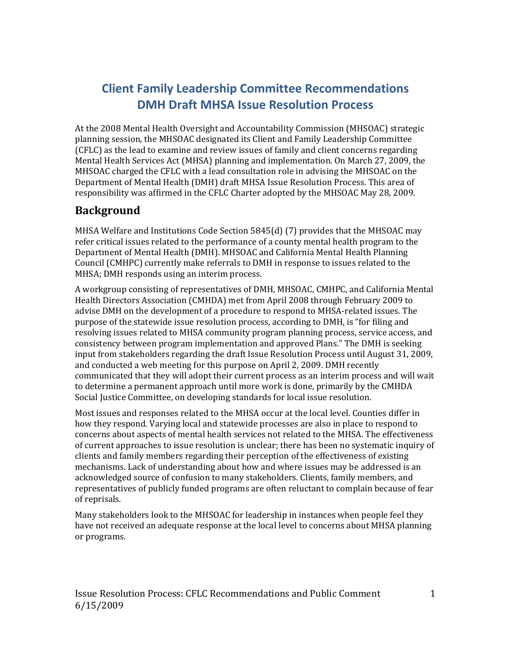# **Client Family Leadership Committee Recommendations DMH Draft MHSA Issue Resolution Process**

At the 2008 Mental Health Oversight and Accountability Commission (MHSOAC) strategic planning session, the MHSOAC designated its Client and Family Leadership Committee (CFLC) as the lead to examine and review issues of family and client concerns regarding Mental Health Services Act (MHSA) planning and implementation. On March 27, 2009, the MHSOAC charged the CFLC with a lead consultation role in advising the MHSOAC on the Department of Mental Health (DMH) draft MHSA Issue Resolution Process. This area of responsibility was affirmed in the CFLC Charter adopted by the MHSOAC May 28, 2009.

### **Background**

MHSA Welfare and Institutions Code Section 5845(d) (7) provides that the MHSOAC may refer critical issues related to the performance of a county mental health program to the Department of Mental Health (DMH). MHSOAC and California Mental Health Planning Council (CMHPC) currently make referrals to DMH in response to issues related to the MHSA; DMH responds using an interim process.

A workgroup consisting of representatives of DMH, MHSOAC, CMHPC, and California Mental Health Directors Association (CMHDA) met from April 2008 through February 2009 to advise DMH on the development of a procedure to respond to MHSA-related issues. The purpose of the statewide issue resolution process, according to DMH, is "for filing and resolving issues related to MHSA community program planning process, service access, and consistency between program implementation and approved Plans." The DMH is seeking input from stakeholders regarding the draft Issue Resolution Process until August 31, 2009, and conducted a web meeting for this purpose on April 2, 2009. DMH recently communicated that they will adopt their current process as an interim process and will wait to determine a permanent approach until more work is done, primarily by the CMHDA Social Justice Committee, on developing standards for local issue resolution.

Most issues and responses related to the MHSA occur at the local level. Counties differ in how they respond. Varying local and statewide processes are also in place to respond to concerns about aspects of mental health services not related to the MHSA. The effectiveness of current approaches to issue resolution is unclear; there has been no systematic inquiry of clients and family members regarding their perception of the effectiveness of existing mechanisms. Lack of understanding about how and where issues may be addressed is an acknowledged source of confusion to many stakeholders. Clients, family members, and representatives of publicly funded programs are often reluctant to complain because of fear of reprisals.

Many stakeholders look to the MHSOAC for leadership in instances when people feel they have not received an adequate response at the local level to concerns about MHSA planning or programs.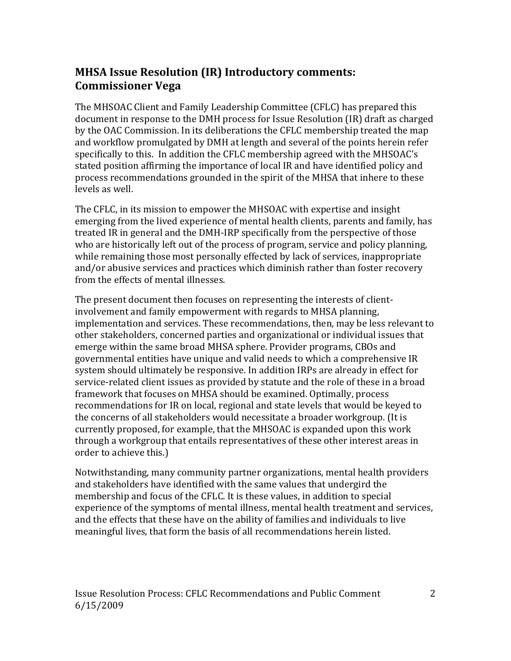# **MHSA Issue Resolution (IR) Introductory comments: Commissioner Vega**

The MHSOAC Client and Family Leadership Committee (CFLC) has prepared this document in response to the DMH process for Issue Resolution (IR) draft as charged by the OAC Commission. In its deliberations the CFLC membership treated the map and workflow promulgated by DMH at length and several of the points herein refer specifically to this. In addition the CFLC membership agreed with the MHSOAC's stated position affirming the importance of local IR and have identified policy and process recommendations grounded in the spirit of the MHSA that inhere to these levels as well.

The CFLC, in its mission to empower the MHSOAC with expertise and insight emerging from the lived experience of mental health clients, parents and family, has treated IR in general and the DMH-IRP specifically from the perspective of those who are historically left out of the process of program, service and policy planning, while remaining those most personally effected by lack of services, inappropriate and/or abusive services and practices which diminish rather than foster recovery from the effects of mental illnesses.

The present document then focuses on representing the interests of clientinvolvement and family empowerment with regards to MHSA planning, implementation and services. These recommendations, then, may be less relevant to other stakeholders, concerned parties and organizational or individual issues that emerge within the same broad MHSA sphere. Provider programs, CBOs and governmental entities have unique and valid needs to which a comprehensive IR system should ultimately be responsive. In addition IRPs are already in effect for service-related client issues as provided by statute and the role of these in a broad framework that focuses on MHSA should be examined. Optimally, process recommendations for IR on local, regional and state levels that would be keyed to the concerns of all stakeholders would necessitate a broader workgroup. (It is currently proposed, for example, that the MHSOAC is expanded upon this work through a workgroup that entails representatives of these other interest areas in order to achieve this.)

Notwithstanding, many community partner organizations, mental health providers and stakeholders have identified with the same values that undergird the membership and focus of the CFLC. It is these values, in addition to special experience of the symptoms of mental illness, mental health treatment and services, and the effects that these have on the ability of families and individuals to live meaningful lives, that form the basis of all recommendations herein listed.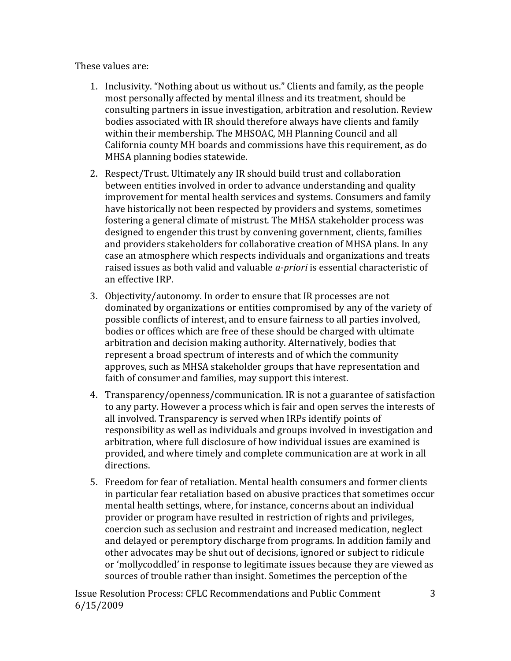These values are:

- 1. Inclusivity. "Nothing about us without us." Clients and family, as the people most personally affected by mental illness and its treatment, should be consulting partners in issue investigation, arbitration and resolution. Review bodies associated with IR should therefore always have clients and family within their membership. The MHSOAC, MH Planning Council and all California county MH boards and commissions have this requirement, as do MHSA planning bodies statewide.
- 2. Respect/Trust. Ultimately any IR should build trust and collaboration between entities involved in order to advance understanding and quality improvement for mental health services and systems. Consumers and family have historically not been respected by providers and systems, sometimes fostering a general climate of mistrust. The MHSA stakeholder process was designed to engender this trust by convening government, clients, families and providers stakeholders for collaborative creation of MHSA plans. In any case an atmosphere which respects individuals and organizations and treats raised issues as both valid and valuable *a-priori* is essential characteristic of an effective IRP.
- 3. Objectivity/autonomy. In order to ensure that IR processes are not dominated by organizations or entities compromised by any of the variety of possible conflicts of interest, and to ensure fairness to all parties involved, bodies or offices which are free of these should be charged with ultimate arbitration and decision making authority. Alternatively, bodies that represent a broad spectrum of interests and of which the community approves, such as MHSA stakeholder groups that have representation and faith of consumer and families, may support this interest.
- directions. 4. Transparency/openness/communication. IR is not a guarantee of satisfaction to any party. However a process which is fair and open serves the interests of all involved. Transparency is served when IRPs identify points of responsibility as well as individuals and groups involved in investigation and arbitration, where full disclosure of how individual issues are examined is provided, and where timely and complete communication are at work in all
- 5. Freedom for fear of retaliation. Mental health consumers and former clients in particular fear retaliation based on abusive practices that sometimes occur mental health settings, where, for instance, concerns about an individual provider or program have resulted in restriction of rights and privileges, coercion such as seclusion and restraint and increased medication, neglect and delayed or peremptory discharge from programs. In addition family and other advocates may be shut out of decisions, ignored or subject to ridicule or 'mollycoddled' in response to legitimate issues because they are viewed as sources of trouble rather than insight. Sometimes the perception of the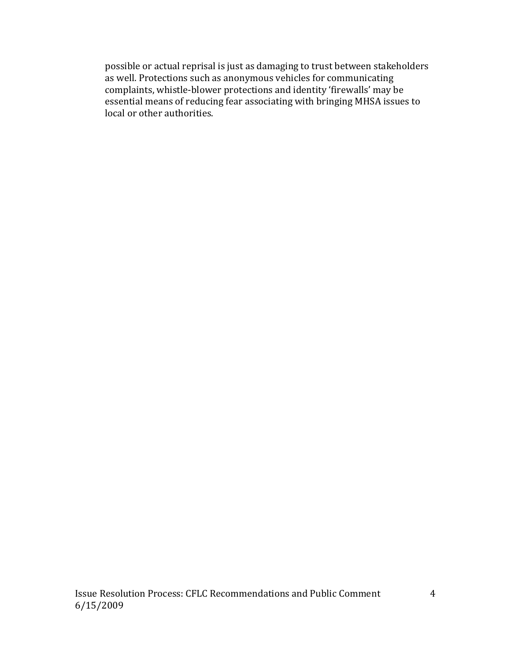possible or actual reprisal is just as damaging to trust between stakeholders as well. Protections such as anonymous vehicles for communicating complaints, whistle-blower protections and identity 'firewalls' may be essential means of reducing fear associating with bringing MHSA issues to local or other authorities.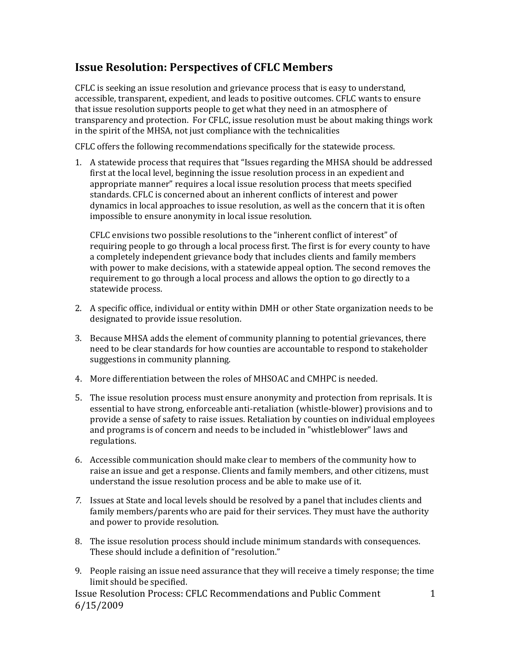## **Issue Resolution: Perspectives of CFLC Members**

CFLC is seeking an issue resolution and grievance process that is easy to understand, accessible, transparent, expedient, and leads to positive outcomes. CFLC wants to ensure that issue resolution supports people to get what they need in an atmosphere of transparency and protection. For CFLC, issue resolution must be about making things work in the spirit of the MHSA, not just compliance with the technicalities

CFLC offers the following recommendations specifically for the statewide process.

1. A statewide process that requires that "Issues regarding the MHSA should be addressed first at the local level, beginning the issue resolution process in an expedient and appropriate manner" requires a local issue resolution process that meets specified standards. CFLC is concerned about an inherent conflicts of interest and power dynamics in local approaches to issue resolution, as well as the concern that it is often impossible to ensure anonymity in local issue resolution.

CFLC envisions two possible resolutions to the "inherent conflict of interest" of requiring people to go through a local process first. The first is for every county to have a completely independent grievance body that includes clients and family members with power to make decisions, with a statewide appeal option. The second removes the requirement to go through a local process and allows the option to go directly to a statewide process.

- 2. A specific office, individual or entity within DMH or other State organization needs to be designated to provide issue resolution.
- 3. Because MHSA adds the element of community planning to potential grievances, there need to be clear standards for how counties are accountable to respond to stakeholder suggestions in community planning.
- 4. More differentiation between the roles of MHSOAC and CMHPC is needed.
- 5. The issue resolution process must ensure anonymity and protection from reprisals. It is essential to have strong, enforceable anti-retaliation (whistle-blower) provisions and to provide a sense of safety to raise issues. Retaliation by counties on individual employees and programs is of concern and needs to be included in "whistleblower" laws and regulations.
- 6. Accessible communication should make clear to members of the community how to raise an issue and get a response. Clients and family members, and other citizens, must understand the issue resolution process and be able to make use of it.
- *7.* Issues at State and local levels should be resolved by a panel that includes clients and family members/parents who are paid for their services. They must have the authority and power to provide resolution.
- These should include a definition of "resolution." 8. The issue resolution process should include minimum standards with consequences.
- 9. People raising an issue need assurance that they will receive a timely response; the time limit should be specified.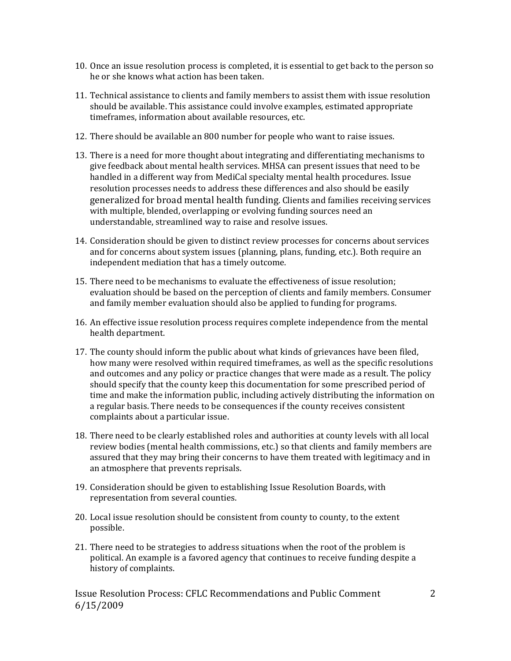- 10. Once an issue resolution process is completed, it is essential to get back to the person so he or she knows what action has been taken.
- 11. Technical assistance to clients and family members to assist them with issue resolution should be available. This assistance could involve examples, estimated appropriate timeframes, information about available resources, etc.
- 12. There should be available an 800 number for people who want to raise issues.
- 13. There is a need for more thought about integrating and differentiating mechanisms to give feedback about mental health services. MHSA can present issues that need to be handled in a different way from MediCal specialty mental health procedures. Issue resolution processes needs to address these differences and also should be easily generalized for broad mental health funding. Clients and families receiving services with multiple, blended, overlapping or evolving funding sources need an understandable, streamlined way to raise and resolve issues.
- 14. Consideration should be given to distinct review processes for concerns about services and for concerns about system issues (planning, plans, funding, etc.). Both require an independent mediation that has a timely outcome.
- 15. There need to be mechanisms to evaluate the effectiveness of issue resolution; evaluation should be based on the perception of clients and family members. Consumer and family member evaluation should also be applied to funding for programs.
- 16. An effective issue resolution process requires complete independence from the mental health department.
- 17. The county should inform the public about what kinds of grievances have been filed, how many were resolved within required timeframes, as well as the specific resolutions and outcomes and any policy or practice changes that were made as a result. The policy should specify that the county keep this documentation for some prescribed period of time and make the information public, including actively distributing the information on a regular basis. There needs to be consequences if the county receives consistent complaints about a particular issue.
- 18. There need to be clearly established roles and authorities at county levels with all local review bodies (mental health commissions, etc.) so that clients and family members are assured that they may bring their concerns to have them treated with legitimacy and in an atmosphere that prevents reprisals.
- 19. Consideration should be given to establishing Issue Resolution Boards, with representation from several counties.
- possible. 20. Local issue resolution should be consistent from county to county, to the extent
- 2 1. There need to be strategies to address situations when the root of the problem is political. An example is a favored agency that continues to receive funding despite a history of complaints.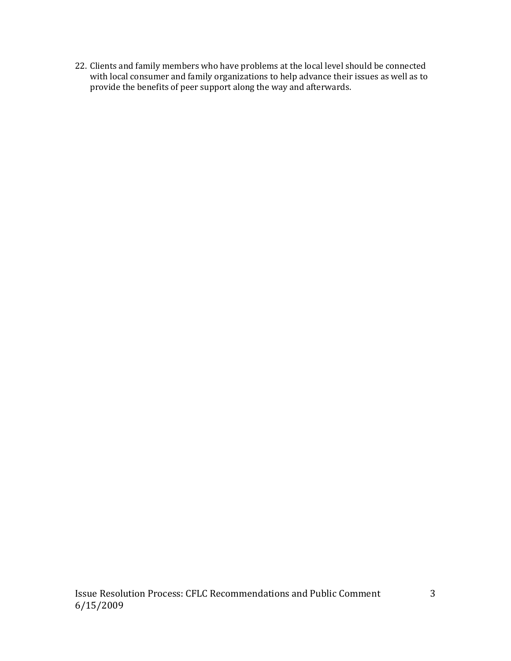22. Clients and family members who have problems at the local level should be connected with local consumer and family organizations to help advance their issues as well as to provide the benefits of peer support along the way and afterwards.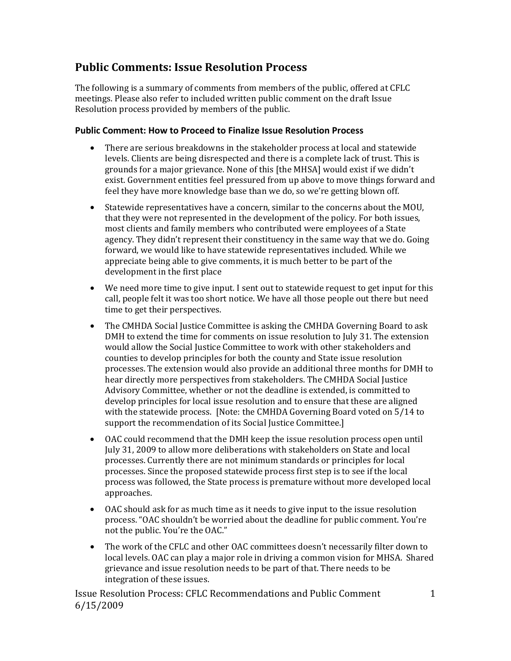## **Public Comments: Issue Resolution Process**

The following is a summary of comments from members of the public, offered at CFLC meetings. Please also refer to included written public comment on the draft Issue Resolution process provided by members of the public.

#### **Public Comment: How to Proceed to Finalize Issue Resolution Process**

- There are serious breakdowns in the stakeholder process at local and statewide levels. Clients are being disrespected and there is a complete lack of trust. This is grounds for a major grievance. None of this [the MHSA] would exist if we didn't exist. Government entities feel pressured from up above to move things forward and feel they have more knowledge base than we do, so we're getting blown off.
- Statewide representatives have a concern, similar to the concerns about the MOU, that they were not represented in the development of the policy. For both issues, most clients and family members who contributed were employees of a State agency. They didn't represent their constituency in the same way that we do. Going forward, we would like to have statewide representatives included. While we appreciate being able to give comments, it is much better to be part of the development in the first place
- We need more time to give input. I sent out to statewide request to get input for this call, people felt it was too short notice. We have all those people out there but need time to get their perspectives.
- The CMHDA Social Justice Committee is asking the CMHDA Governing Board to ask DMH to extend the time for comments on issue resolution to July 31. The extension would allow the Social Justice Committee to work with other stakeholders and counties to develop principles for both the county and State issue resolution processes. The extension would also provide an additional three months for DMH to hear directly more perspectives from stakeholders. The CMHDA Social Justice Advisory Committee, whether or not the deadline is extended, is committed to develop principles for local issue resolution and to ensure that these are aligned with the statewide process. [Note: the CMHDA Governing Board voted on 5/14 to support the recommendation of its Social Justice Committee.]
- OAC could recommend that the DMH keep the issue resolution process open until July 31, 2009 to allow more deliberations with stakeholders on State and local processes. Currently there are not minimum standards or principles for local processes. Since the proposed statewide process first step is to see if the local process was followed, the State process is premature without more developed local approaches.
- not the public. You're the OAC." • OAC should ask for as much time as it needs to give input to the issue resolution process. "OAC shouldn't be worried about the deadline for public comment. You're
- The work of the CFLC and other OAC committees doesn't necessarily filter down to local levels. OAC can play a major role in driving a common vision for MHSA. Shared grievance and issue resolution needs to be part of that. There needs to be integration of these issues.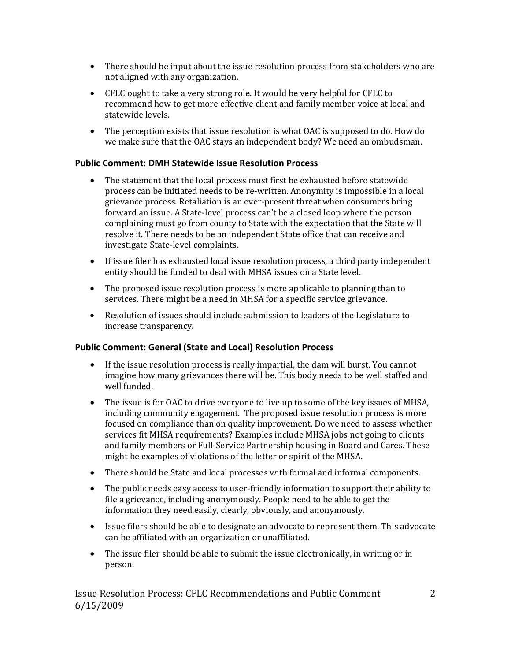- There should be input about the issue resolution process from stakeholders who are not aligned with any organization.
- CFLC ought to take a very strong role. It would be very helpful for CFLC to recommend how to get more effective client and family member voice at local and statewide levels.
- The perception exists that issue resolution is what OAC is supposed to do. How do we make sure that the OAC stays an independent body? We need an ombudsman.

#### **Public Comment: DMH Statewide Issue Resolution Process**

- The statement that the local process must first be exhausted before statewide process can be initiated needs to be re-written. Anonymity is impossible in a local grievance process. Retaliation is an ever-present threat when consumers bring forward an issue. A State-level process can't be a closed loop where the person complaining must go from county to State with the expectation that the State will resolve it. There needs to be an independent State office that can receive and investigate State-level complaints.
- If issue filer has exhausted local issue resolution process, a third party independent entity should be funded to deal with MHSA issues on a State level.
- The proposed issue resolution process is more applicable to planning than to services. There might be a need in MHSA for a specific service grievance.
- Resolution of issues should include submission to leaders of the Legislature to increase transparency.

#### **Public Comment: General (State and Local) Resolution Process**

- If the issue resolution process is really impartial, the dam will burst. You cannot imagine how many grievances there will be. This body needs to be well staffed and well funded.
- The issue is for OAC to drive everyone to live up to some of the key issues of MHSA, including community engagement. The proposed issue resolution process is more focused on compliance than on quality improvement. Do we need to assess whether services fit MHSA requirements? Examples include MHSA jobs not going to clients and family members or Full-Service Partnership housing in Board and Cares. These might be examples of violations of the letter or spirit of the MHSA.
- There should be State and local processes with formal and informal components.
- The public needs easy access to user-friendly information to support their ability to file a grievance, including anonymously. People need to be able to get the information they need easily, clearly, obviously, and anonymously.
- Issue filers should be able to designate an advocate to represent them. This advocate can be affiliated with an organization or unaffiliated.
- The issue filer should be able to submit the issue electronically, in writing or in person.